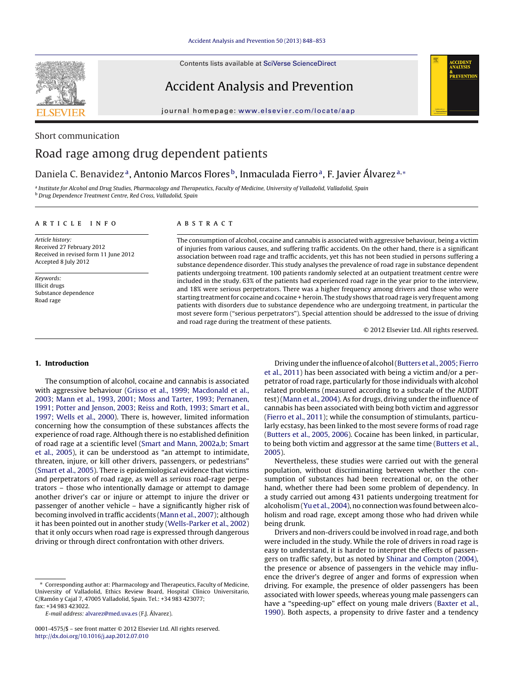Contents lists available at SciVerse [ScienceDirect](http://www.sciencedirect.com/science/journal/00014575)



Accident Analysis and Prevention



iournal homepage: [www.elsevier.com/locate/aap](http://www.elsevier.com/locate/aap)

# Short communication

# Road rage among drug dependent patients

# Daniela C. Benavidez<sup>a</sup>, Antonio Marcos Flores<sup>b</sup>, Inmaculada Fierro<sup>a</sup>, F. Javier Álvarez<sup>a,∗</sup>

a Institute for Alcohol and Drug Studies, Pharmacology and Therapeutics, Faculty of Medicine, University of Valladolid, Valladolid, Spain <sup>b</sup> Drug Dependence Treatment Centre, Red Cross, Valladolid, Spain

# a r t i c l e i n f o

Article history: Received 27 February 2012 Received in revised form 11 June 2012 Accepted 8 July 2012

Keywords: Illicit drugs Substance dependence Road rage

# A B S T R A C T

The consumption of alcohol, cocaine and cannabis is associated with aggressive behaviour, being a victim of injuries from various causes, and suffering traffic accidents. On the other hand, there is a significant association between road rage and traffic accidents, yet this has not been studied in persons suffering a substance dependence disorder. This study analyses the prevalence of road rage in substance dependent patients undergoing treatment. 100 patients randomly selected at an outpatient treatment centre were included in the study. 63% of the patients had experienced road rage in the year prior to the interview, and 18% were serious perpetrators. There was a higher frequency among drivers and those who were starting treatment for cocaine and cocaine + heroin. The study shows that road rage is very frequent among patients with disorders due to substance dependence who are undergoing treatment, in particular the most severe form ("serious perpetrators"). Special attention should be addressed to the issue of driving and road rage during the treatment of these patients.

© 2012 Elsevier Ltd. All rights reserved.

# **1. Introduction**

The consumption of alcohol, cocaine and cannabis is associated with aggressive behaviour [\(Grisso](#page-5-0) et [al.,](#page-5-0) [1999;](#page-5-0) [Macdonald](#page-5-0) et [al.,](#page-5-0) [2003;](#page-5-0) [Mann](#page-5-0) et [al.,](#page-5-0) [1993,](#page-5-0) [2001;](#page-5-0) [Moss](#page-5-0) [and](#page-5-0) [Tarter,](#page-5-0) [1993;](#page-5-0) [Pernanen,](#page-5-0) [1991;](#page-5-0) [Potter](#page-5-0) [and](#page-5-0) [Jenson,](#page-5-0) [2003;](#page-5-0) [Reiss](#page-5-0) [and](#page-5-0) [Roth,](#page-5-0) [1993;](#page-5-0) [Smart](#page-5-0) et [al.,](#page-5-0) [1997;](#page-5-0) [Wells](#page-5-0) et [al.,](#page-5-0) [2000\).](#page-5-0) There is, however, limited information concerning how the consumption of these substances affects the experience of road rage. Although there is no established definition of road rage at a scientific level ([Smart](#page-5-0) [and](#page-5-0) [Mann,](#page-5-0) [2002a,b;](#page-5-0) [Smart](#page-5-0) et [al.,](#page-5-0) [2005\),](#page-5-0) it can be understood as "an attempt to intimidate, threaten, injure, or kill other drivers, passengers, or pedestrians" ([Smart](#page-5-0) et [al.,](#page-5-0) [2005\).](#page-5-0) There is epidemiological evidence that victims and perpetrators of road rage, as well as serious road-rage perpetrators – those who intentionally damage or attempt to damage another driver's car or injure or attempt to injure the driver or passenger of another vehicle – have a significantly higher risk of becoming involved in traffic accidents [\(Mann](#page-5-0) et [al.,](#page-5-0) [2007\);](#page-5-0) although it has been pointed out in another study ([Wells-Parker](#page-5-0) et [al.,](#page-5-0) [2002\)](#page-5-0) that it only occurs when road rage is expressed through dangerous driving or through direct confrontation with other drivers.

∗ Corresponding author at: Pharmacology and Therapeutics, Faculty of Medicine, University of Valladolid, Ethics Review Board, Hospital Clínico Universitario, C/Ramón y Cajal 7, 47005 Valladolid, Spain. Tel.: +34 983 423077; fax: +34 983 423022.

E-mail address: [alvarez@med.uva.es](mailto:alvarez@med.uva.es) (F.J. Álvarez).

Drivingunder the influence of alcohol([Butters](#page-5-0) et [al.,](#page-5-0) [2005;](#page-5-0) [Fierro](#page-5-0) et [al.,](#page-5-0) [2011\)](#page-5-0) has been associated with being a victim and/or a perpetrator of road rage, particularly for those individuals with alcohol related problems (measured according to a subscale of the AUDIT test)[\(Mann](#page-5-0) et [al.,](#page-5-0) [2004\).](#page-5-0) As for drugs, driving under the influence of cannabis has been associated with being both victim and aggressor [\(Fierro](#page-5-0) et [al.,](#page-5-0) [2011\);](#page-5-0) while the consumption of stimulants, particularly ecstasy, has been linked to the most severe forms of road rage [\(Butters](#page-5-0) et [al.,](#page-5-0) [2005,](#page-5-0) [2006\).](#page-5-0) Cocaine has been linked, in particular, to being both victim and aggressor at the same time [\(Butters](#page-5-0) et [al.,](#page-5-0) [2005\).](#page-5-0)

Nevertheless, these studies were carried out with the general population, without discriminating between whether the consumption of substances had been recreational or, on the other hand, whether there had been some problem of dependency. In a study carried out among 431 patients undergoing treatment for alcoholism [\(Yu](#page-5-0) et [al.,](#page-5-0) [2004\),](#page-5-0) no connection was found between alcoholism and road rage, except among those who had driven while being drunk.

Drivers and non-drivers could be involved in road rage, and both were included in the study. While the role of drivers in road rage is easy to understand, it is harder to interpret the effects of passengers on traffic safety, but as noted by [Shinar](#page-5-0) [and](#page-5-0) [Compton](#page-5-0) [\(2004\),](#page-5-0) the presence or absence of passengers in the vehicle may influence the driver's degree of anger and forms of expression when driving. For example, the presence of older passengers has been associated with lower speeds, whereas young male passengers can have a "speeding-up" effect on young male drivers [\(Baxter](#page-5-0) et [al.,](#page-5-0) [1990\).](#page-5-0) Both aspects, a propensity to drive faster and a tendency

<sup>0001-4575/\$</sup> – see front matter © 2012 Elsevier Ltd. All rights reserved. [http://dx.doi.org/10.1016/j.aap.2012.07.010](dx.doi.org/10.1016/j.aap.2012.07.010)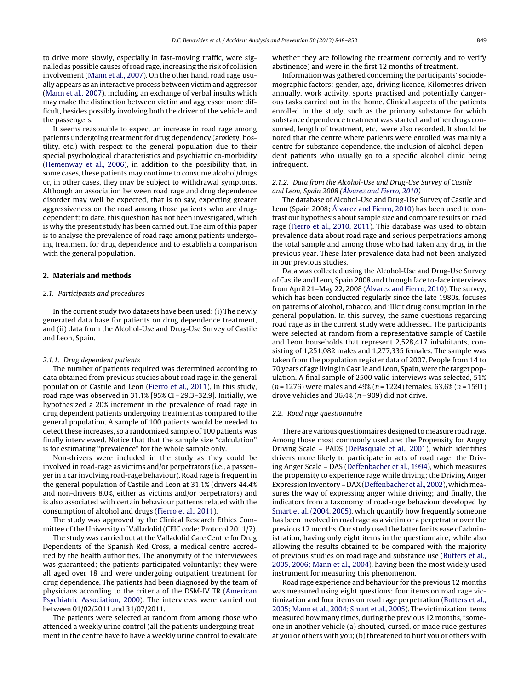to drive more slowly, especially in fast-moving traffic, were signalled as possible causes of road rage, increasing the risk of collision involvement ([Mann](#page-5-0) et [al.,](#page-5-0) [2007\).](#page-5-0) On the other hand, road rage usually appears as an interactive process between victim and aggressor ([Mann](#page-5-0) et [al.,](#page-5-0) [2007\),](#page-5-0) including an exchange of verbal insults which may make the distinction between victim and aggressor more difficult, besides possibly involving both the driver of the vehicle and the passengers.

It seems reasonable to expect an increase in road rage among patients undergoing treatment for drug dependency (anxiety, hostility, etc.) with respect to the general population due to their special psychological characteristics and psychiatric co-morbidity ([Hemenway](#page-5-0) et [al.,](#page-5-0) [2006\),](#page-5-0) in addition to the possibility that, in some cases, these patients may continue to consume alcohol/drugs or, in other cases, they may be subject to withdrawal symptoms. Although an association between road rage and drug dependence disorder may well be expected, that is to say, expecting greater aggressiveness on the road among those patients who are drugdependent; to date, this question has not been investigated, which is why the present study has been carried out. The aim of this paper is to analyse the prevalence of road rage among patients undergoing treatment for drug dependence and to establish a comparison with the general population.

#### **2. Materials and methods**

#### 2.1. Participants and procedures

In the current study two datasets have been used: (i) The newly generated data base for patients on drug dependence treatment, and (ii) data from the Alcohol-Use and Drug-Use Survey of Castile and Leon, Spain.

#### 2.1.1. Drug dependent patients

The number of patients required was determined according to data obtained from previous studies about road rage in the general population of Castile and Leon [\(Fierro](#page-5-0) et [al.,](#page-5-0) [2011\).](#page-5-0) In this study, road rage was observed in 31.1% [95% CI = 29.3–32.9]. Initially, we hypothesized a 20% increment in the prevalence of road rage in drug dependent patients undergoing treatment as compared to the general population. A sample of 100 patients would be needed to detect these increases, so a randomized sample of 100 patients was finally interviewed. Notice that that the sample size "calculation" is for estimating "prevalence" for the whole sample only.

Non-drivers were included in the study as they could be involved in road-rage as victims and/or perpetrators (i.e., a passenger in a car involving road-rage behaviour). Road rage is frequent in the general population of Castile and Leon at 31.1% (drivers 44.4% and non-drivers 8.0%, either as victims and/or perpetrators) and is also associated with certain behaviour patterns related with the consumption of alcohol and drugs ([Fierro](#page-5-0) et [al.,](#page-5-0) [2011\).](#page-5-0)

The study was approved by the Clinical Research Ethics Committee of the University of Valladolid (CEIC code: Protocol 2011/7).

The study was carried out at the Valladolid Care Centre for Drug Dependents of the Spanish Red Cross, a medical centre accredited by the health authorities. The anonymity of the interviewees was guaranteed; the patients participated voluntarily; they were all aged over 18 and were undergoing outpatient treatment for drug dependence. The patients had been diagnosed by the team of physicians according to the criteria of the DSM-IV TR ([American](#page-5-0) [Psychiatric](#page-5-0) [Association,](#page-5-0) [2000\).](#page-5-0) The interviews were carried out between 01/02/2011 and 31/07/2011.

The patients were selected at random from among those who attended a weekly urine control (all the patients undergoing treatment in the centre have to have a weekly urine control to evaluate whether they are following the treatment correctly and to verify abstinence) and were in the first 12 months of treatment.

Information was gathered concerning the participants' sociodemographic factors: gender, age, driving licence, Kilometres driven annually, work activity, sports practised and potentially dangerous tasks carried out in the home. Clinical aspects of the patients enrolled in the study, such as the primary substance for which substance dependence treatment was started, and other drugs consumed, length of treatment, etc., were also recorded. It should be noted that the centre where patients were enrolled was mainly a centre for substance dependence, the inclusion of alcohol dependent patients who usually go to a specific alcohol clinic being infrequent.

# 2.1.2. Data from the Alcohol-Use and Drug-Use Survey of Castile and Leon, Spain 2008 [\(Álvarez](#page-5-0) [and](#page-5-0) [Fierro,](#page-5-0) [2010\)](#page-5-0)

The database of Alcohol-Use and Drug-Use Survey of Castile and Leon (Spain 2008; [Álvarez](#page-5-0) [and](#page-5-0) [Fierro,](#page-5-0) [2010\)](#page-5-0) has been used to contrast our hypothesis about sample size and compare results on road rage ([Fierro](#page-5-0) et [al.,](#page-5-0) [2010,](#page-5-0) [2011\).](#page-5-0) This database was used to obtain prevalence data about road rage and serious perpetrations among the total sample and among those who had taken any drug in the previous year. These later prevalence data had not been analyzed in our previous studies.

Data was collected using the Alcohol-Use and Drug-Use Survey of Castile and Leon, Spain 2008 and through face to-face interviews from April 21–May 22, 2008 ([Álvarez](#page-5-0) [and](#page-5-0) [Fierro,](#page-5-0) [2010\).](#page-5-0) The survey, which has been conducted regularly since the late 1980s, focuses on patterns of alcohol, tobacco, and illicit drug consumption in the general population. In this survey, the same questions regarding road rage as in the current study were addressed. The participants were selected at random from a representative sample of Castile and Leon households that represent 2,528,417 inhabitants, consisting of 1,251,082 males and 1,277,335 females. The sample was taken from the population register data of 2007. People from 14 to 70 years of age living in Castile and Leon, Spain, were the target population. A final sample of 2500 valid interviews was selected, 51%  $(n = 1276)$  were males and 49%  $(n = 1224)$  females. 63.6%  $(n = 1591)$ drove vehicles and  $36.4\%$  ( $n = 909$ ) did not drive.

#### 2.2. Road rage questionnaire

There are various questionnaires designed to measure road rage. Among those most commonly used are: the Propensity for Angry Driving Scale – PADS ([DePasquale](#page-5-0) et [al.,](#page-5-0) [2001\),](#page-5-0) which identifies drivers more likely to participate in acts of road rage; the Driving Anger Scale – DAS [\(Deffenbacher](#page-5-0) et [al.,](#page-5-0) [1994\),](#page-5-0) which measures the propensity to experience rage while driving; the Driving Anger Expression Inventory - DAX [\(Deffenbacher](#page-5-0) et [al.,](#page-5-0) [2002\),](#page-5-0) which measures the way of expressing anger while driving; and finally, the indicators from a taxonomy of road-rage behaviour developed by [Smart](#page-5-0) et [al.](#page-5-0) [\(2004,](#page-5-0) [2005\),](#page-5-0) which quantify how frequently someone has been involved in road rage as a victim or a perpetrator over the previous 12 months. Our study used the latter for its ease of administration, having only eight items in the questionnaire; while also allowing the results obtained to be compared with the majority of previous studies on road rage and substance use [\(Butters](#page-5-0) et [al.,](#page-5-0) [2005,](#page-5-0) [2006;](#page-5-0) [Mann](#page-5-0) et [al.,](#page-5-0) [2004\),](#page-5-0) having been the most widely used instrument for measuring this phenomenon.

Road rage experience and behaviour for the previous 12 months was measured using eight questions: four items on road rage victimization and four items on road rage perpetration [\(Butters](#page-5-0) et [al.,](#page-5-0) [2005;](#page-5-0) [Mann](#page-5-0) et [al.,](#page-5-0) [2004;](#page-5-0) [Smart](#page-5-0) et [al.,](#page-5-0) [2005\).](#page-5-0) The victimization items measured how many times, during the previous 12 months, "someone in another vehicle (a) shouted, cursed, or made rude gestures at you or others with you; (b) threatened to hurt you or others with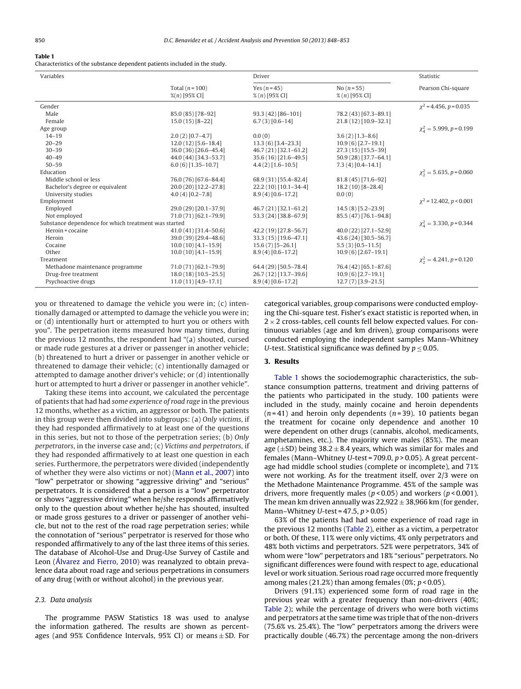# **Table 1**

Characteristics of the substance dependent patients included in the study.

| Variables                                            |                                           | Driver                            | Statistic                                 |                              |
|------------------------------------------------------|-------------------------------------------|-----------------------------------|-------------------------------------------|------------------------------|
|                                                      | Total $(n=100)$<br>$\frac{2}{n}$ [95% CI] | Yes $(n=45)$<br>$\%$ (n) [95% CI] | No $(n = 55)$<br>$\frac{2}{(n)}$ [95% CI] | Pearson Chi-square           |
| Gender                                               |                                           |                                   |                                           | $\chi^2$ = 4.456, p = 0.035  |
| Male                                                 | 85.0 (85) [78-92]                         | 93.3 (42) [86-101]                | 78.2 (43) [67.3-89.1]                     |                              |
| Female                                               | $15.0(15)$ [8-22]                         | $6.7(3)[0.6-14]$                  | 21.8 (12) [10.9-32.1]                     |                              |
| Age group                                            |                                           |                                   |                                           | $\chi^2$ = 5.999, p = 0.199  |
| $14 - 19$                                            | $2.0(2)$ [0.7-4.7]                        | 0.0(0)                            | $3.6(2)$ [1.3-8.6]                        |                              |
| $20 - 29$                                            | $12.0(12)$ [5.6-18.4]                     | $13.3(6)$ [3.4-23.3]              | $10.9(6)$ [2.7-19.1]                      |                              |
| $30 - 39$                                            | 36.0 (36) [26.6-45.4]                     | 46.7 (21) [32.1-61.2]             | 27.3 (15) [15.5-39]                       |                              |
| $40 - 49$                                            | 44.0 (44) [34.3-53.7]                     | 35.6 (16) [21.6-49.5]             | 50.9 (28) [37.7-64.1]                     |                              |
| $50 - 59$                                            | $6.0(6)$ [1.35-10.7]                      | $4.4(2)$ [1.6-10.5]               | $7.3(4)[0.4-14.1]$                        |                              |
| Education                                            |                                           |                                   |                                           | $\chi^2$ = 5.635, p = 0.060  |
| Middle school or less                                | 76.0 (76) [67.6-84.4]                     | 68.9 (31) [55.4-82.4]             | 81.8 (45) [71.6-92]                       |                              |
| Bachelor's degree or equivalent                      | 20.0 (20) [12.2-27.8]                     | 22.2 (10) [10.1-34-4]             | $18.2(10)$ [8-28.4]                       |                              |
| University studies                                   | $4.0(4)[0.2 - 7.8]$                       | $8.9(4)[0.6-17.2]$                | 0.0(0)                                    |                              |
| Employment                                           |                                           |                                   |                                           | $\chi^2$ = 12.402, p < 0.001 |
| Employed                                             | 29.0 (29) [20.1-37.9]                     | $46.7(21)$ [32.1-61.2]            | $14.5(8)$ [5.2-23.9]                      |                              |
| Not employed                                         | 71.0 (71) [62.1-79.9]                     | 53.3 (24) [38.8-67.9]             | 85.5 (47) [76.1-94.8]                     |                              |
| Substance dependence for which treatment was started |                                           |                                   |                                           | $\chi^2$ = 3.330, p = 0.344  |
| Heroin + cocaine                                     | 41.0 (41) [31.4-50.6]                     | 42.2 (19) [27.8-56.7]             | 40.0 (22) [27.1-52.9]                     |                              |
| Heroin                                               | 39.0 (39) [29.4-48.6]                     | 33.3 (15) [19.6-47.1]             | 43.6 (24) [30.5-56.7]                     |                              |
| Cocaine                                              | $10.0(10)$ [4.1-15.9]                     | $15.6(7)$ [5-26.1]                | $5.5(3)[0.5-11.5]$                        |                              |
| Other                                                | $10.0(10)$ [4.1-15.9]                     | $8.9(4)[0.6-17.2]$                | $10.9(6)$ [2.67-19.1]                     |                              |
| Treatment                                            |                                           |                                   |                                           | $\chi^2$ = 4.241, p = 0.120  |
| Methadone maintenance programme                      | 71.0 (71) [62.1-79.9]                     | 64.4 (29) [50.5-78.4]             | 76.4 (42) [65.1-87.6]                     |                              |
| Drug-free treatment                                  | $18.0(18)$ [10.5-25.5]                    | 26.7 (12) [13.7-39.6]             | $10.9(6)$ [2.7-19.1]                      |                              |
| Psychoactive drugs                                   | $11.0(11)$ [4.9-17.1]                     | $8.9(4)[0.6-17.2]$                | $12.7(7)[3.9-21.5]$                       |                              |

you or threatened to damage the vehicle you were in; (c) intentionally damaged or attempted to damage the vehicle you were in; or (d) intentionally hurt or attempted to hurt you or others with you". The perpetration items measured how many times, during the previous 12 months, the respondent had "(a) shouted, cursed or made rude gestures at a driver or passenger in another vehicle; (b) threatened to hurt a driver or passenger in another vehicle or threatened to damage their vehicle; (c) intentionally damaged or attempted to damage another driver's vehicle; or (d) intentionally hurt or attempted to hurt a driver or passenger in another vehicle".

Taking these items into account, we calculated the percentage of patients that had had some experience of road rage in the previous 12 months, whether as a victim, an aggressor or both. The patients in this group were then divided into subgroups: (a) Only victims, if they had responded affirmatively to at least one of the questions in this series, but not to those of the perpetration series; (b) Only perpetrators, in the inverse case and; (c) Victims and perpetrators, if they had responded affirmatively to at least one question in each series. Furthermore, the perpetrators were divided (independently of whether they were also victims or not) [\(Mann](#page-5-0) et [al.,](#page-5-0) [2007\)](#page-5-0) into "low" perpetrator or showing "aggressive driving" and "serious" perpetrators. It is considered that a person is a "low" perpetrator or shows "aggressive driving" when he/she responds affirmatively only to the question about whether he/she has shouted, insulted or made gross gestures to a driver or passenger of another vehicle, but not to the rest of the road rage perpetration series; while the connotation of "serious" perpetrator is reserved for those who responded affirmatively to any of the last three items of this series. The database of Alcohol-Use and Drug-Use Survey of Castile and Leon ([Álvarez](#page-5-0) [and](#page-5-0) [Fierro,](#page-5-0) [2010\)](#page-5-0) was reanalyzed to obtain prevalence data about road rage and serious perpetrations in consumers of any drug (with or without alcohol) in the previous year.

# 2.3. Data analysis

The programme PASW Statistics 18 was used to analyse the information gathered. The results are shown as percentages (and 95% Confidence Intervals, 95% CI) or means  $\pm$  SD. For categorical variables, group comparisons were conducted employing the Chi-square test. Fisher's exact statistic is reported when, in  $2 \times 2$  cross-tables, cell counts fell below expected values. For continuous variables (age and km driven), group comparisons were conducted employing the independent samples Mann–Whitney U-test. Statistical significance was defined by  $p < 0.05$ .

# **3. Results**

Table 1 shows the sociodemographic characteristics, the substance consumption patterns, treatment and driving patterns of the patients who participated in the study. 100 patients were included in the study, mainly cocaine and heroin dependents  $(n=41)$  and heroin only dependents  $(n=39)$ . 10 patients began the treatment for cocaine only dependence and another 10 were dependent on other drugs (cannabis, alcohol, medicaments, amphetamines, etc.). The majority were males (85%). The mean age ( $\pm$ SD) being 38.2  $\pm$  8.4 years, which was similar for males and females (Mann–Whitney U-test = 709.0,  $p > 0.05$ ). A great percentage had middle school studies (complete or incomplete), and 71% were not working. As for the treatment itself, over 2/3 were on the Methadone Maintenance Programme. 45% of the sample was drivers, more frequently males ( $p < 0.05$ ) and workers ( $p < 0.001$ ). The mean km driven annually was  $22,922 \pm 38,966$  km (for gender, Mann–Whitney U-test =  $47.5$ ,  $p > 0.05$ )

63% of the patients had had some experience of road rage in the previous 12 months [\(Table](#page-3-0) 2), either as a victim, a perpetrator or both. Of these, 11% were only victims, 4% only perpetrators and 48% both victims and perpetrators. 52% were perpetrators, 34% of whom were "low" perpetrators and 18% "serious" perpetrators. No significant differences were found with respect to age, educational level or work situation. Serious road rage occurred more frequently among males (21.2%) than among females (0%;  $p < 0.05$ ).

Drivers (91.1%) experienced some form of road rage in the previous year with a greater frequency than non-drivers (40%; [Table](#page-3-0) 2); while the percentage of drivers who were both victims and perpetrators at the same time was triple that of the non-drivers (75.6% vs. 25.4%). The "low" perpetrators among the drivers were practically double (46.7%) the percentage among the non-drivers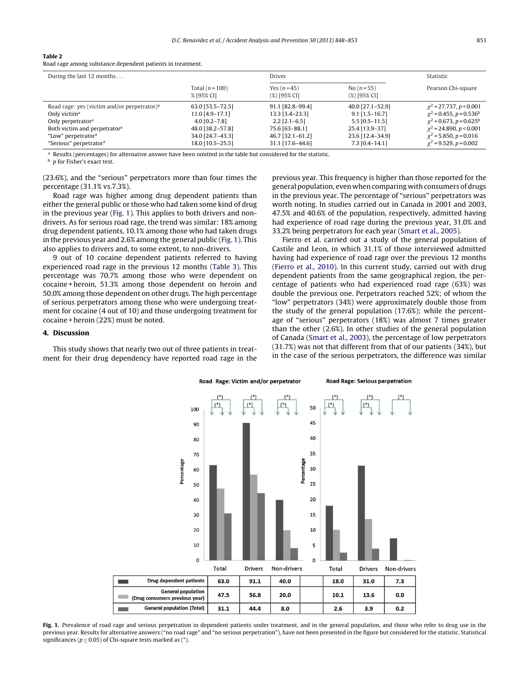#### <span id="page-3-0"></span>**Table 2**

Road rage among substance dependent patients in treatment.

| During the last 12 months                               |                               | <b>Driver</b>                    | Statistic                       |                                          |
|---------------------------------------------------------|-------------------------------|----------------------------------|---------------------------------|------------------------------------------|
|                                                         | Total $(n=100)$<br>% [95% CI] | Yes $(n = 45)$<br>$(%)$ [95% CI] | No $(n = 55)$<br>$(%)$ [95% CI] | Pearson Chi-square                       |
| Road rage: yes (victim and/or perpetrator) <sup>a</sup> | 63.0 [53.5 - 72.5]            | $91.1$ [82.8-99.4]               | 40.0 [27.1-52.9]                | $\chi^2$ = 27.737, p < 0.001             |
| Only victim <sup>a</sup>                                | $11.0$ [4.9-17.1]             | 13.3 [3.4-23.3]                  | $9.1$ [1.5-16.7]                | $\chi^2$ = 0.455, p = 0.536 <sup>b</sup> |
| Only perpetrator <sup>a</sup>                           | $4.0$ [0.2-7.8]               | $2.2$ [2.1-6.5]                  | $5.5$ [0.5-11.5]                | $\chi^2$ = 0.673, p = 0.625 <sup>b</sup> |
| Both victim and perpetrator <sup>a</sup>                | 48.0 [38.2-57.8]              | 75.6 [63-88.1]                   | 25.4 [13.9-37]                  | $\chi^2$ = 24.890, p < 0.001             |
| "Low" perpetrator <sup>a</sup>                          | 34.0 [24.7-43.3]              | 46.7 [32.1-61.2]                 | 23.6 [12.4-34.9]                | $\chi^2$ = 5.850, p = 0.016              |
| "Serious" perpetrator <sup>a</sup>                      | 18.0 [10.5-25.5]              | 31.1 [17.6-44.6]                 | $7.3$ [0.4-14.1]                | $\chi^2$ = 9.529, p = 0.002              |

<sup>a</sup> Results (percentages) for alternative answer have been omitted in the table but considered for the statistic.

**b** p for Fisher's exact test.

(23.6%), and the "serious" perpetrators more than four times the percentage (31.1% vs.7.3%).

Road rage was higher among drug dependent patients than either the general public or those who had taken some kind of drug in the previous year (Fig. 1). This applies to both drivers and nondrivers. As for serious road rage, the trend was similar: 18% among drug dependent patients, 10.1% among those who had taken drugs in the previous year and 2.6% among the general public (Fig. 1). This also applies to drivers and, to some extent, to non-drivers.

9 out of 10 cocaine dependent patients referred to having experienced road rage in the previous 12 months [\(Table](#page-4-0) 3). This percentage was 70.7% among those who were dependent on cocaine + heroin, 51.3% among those dependent on heroin and 50.0% among those dependent on other drugs. The high percentage of serious perpetrators among those who were undergoing treatment for cocaine (4 out of 10) and those undergoing treatment for cocaine + heroin (22%) must be noted.

# **4. Discussion**

This study shows that nearly two out of three patients in treatment for their drug dependency have reported road rage in the previous year. This frequency is higher than those reported for the general population, even when comparing with consumers of drugs in the previous year. The percentage of "serious" perpetrators was worth noting. In studies carried out in Canada in 2001 and 2003, 47.5% and 40.6% of the population, respectively, admitted having had experience of road rage during the previous year, 31.0% and 33.2% being perpetrators for each year [\(Smart](#page-5-0) et [al.,](#page-5-0) [2005\).](#page-5-0)

Fierro et al. carried out a study of the general population of Castile and Leon, in which 31.1% of those interviewed admitted having had experience of road rage over the previous 12 months [\(Fierro](#page-5-0) et [al.,](#page-5-0) [2010\).](#page-5-0) In this current study, carried out with drug dependent patients from the same geographical region, the percentage of patients who had experienced road rage (63%) was double the previous one. Perpetrators reached 52%; of whom the "low" perpetrators (34%) were approximately double those from the study of the general population (17.6%); while the percentage of "serious" perpetrators (18%) was almost 7 times greater than the other (2.6%). In other studies of the general population of Canada ([Smart](#page-5-0) et [al.,](#page-5-0) [2003\),](#page-5-0) the percentage of low perpetrators (31.7%) was not that different from that of our patients (34%), but in the case of the serious perpetrators, the difference was similar



Fig. 1. Prevalence of road rage and serious perpetration in dependent patients under treatment, and in the general population, and those who refer to drug use in the previous year. Results for alternative answers ("no road rage" and "no serious perpetration"), have not been presented in the figure but considered for the statistic. Statistical significances ( $p < 0.05$ ) of Chi-square tests marked as (\*).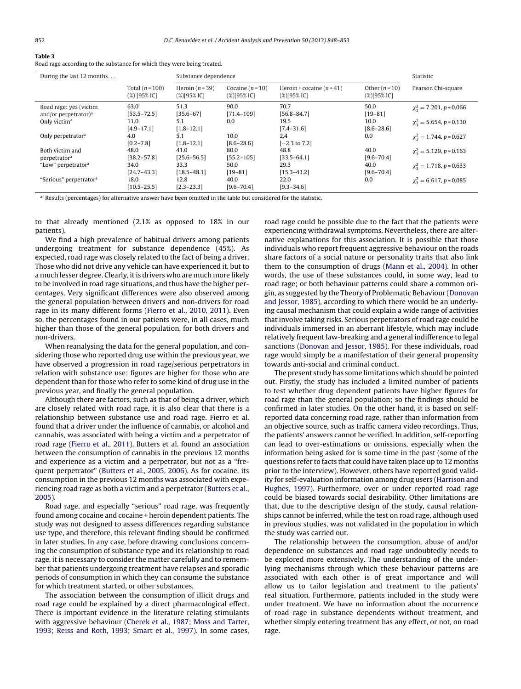<span id="page-4-0"></span>

| D<br>. . |  |
|----------|--|
|          |  |

Road rage according to the substance for which they were being treated.

| During the last 12 months                                  |                                   | Substance dependence            |                                  |                                           | Statistic                      |                             |
|------------------------------------------------------------|-----------------------------------|---------------------------------|----------------------------------|-------------------------------------------|--------------------------------|-----------------------------|
|                                                            | Total $(n=100)$<br>$(%)$ [95% IC] | Heroin $(n=39)$<br>$(X)[95%$ IC | Cocaine $(n=10)$<br>$(X)[95%$ IC | Heroin + cocaine $(n=41)$<br>(% )[95% ]C] | Other $(n=10)$<br>$(X)[95%$ IC | Pearson Chi-square          |
| Road rage: yes (victim<br>and/or perpetrator) <sup>a</sup> | 63.0<br>$[53.5 - 72.5]$           | 51.3<br>$[35.6 - 67]$           | 90.0<br>$[71.4 - 109]$           | 70.7<br>$[56.8 - 84.7]$                   | 50.0<br>$[19 - 81]$            | $\chi^2$ = 7.201, p = 0.066 |
| Only victim <sup>a</sup>                                   | 11.0<br>$[4.9 - 17.1]$            | 5.1<br>$[1.8 - 12.1]$           | 0.0                              | 19.5<br>$[7.4 - 31.6]$                    | 10.0<br>$[8.6 - 28.6]$         | $\chi^2$ = 5.654, p = 0.130 |
| Only perpetrator <sup>a</sup>                              | 4.0<br>$[0.2 - 7.8]$              | 5.1<br>$[1.8 - 12.1]$           | 10.0<br>$[8.6 - 28.6]$           | 2.4<br>$[-2.3 \text{ to } 7.2]$           | 0.0                            | $\chi^2$ = 1.744, p = 0.627 |
| Both victim and<br>perpetrator <sup>a</sup>                | 48.0<br>$[38.2 - 57.8]$           | 41.0<br>$[25.6 - 56.5]$         | 80.0<br>$[55.2 - 105]$           | 48.8<br>$[33.5 - 64.1]$                   | 40.0<br>$[9.6 - 70.4]$         | $\chi^2$ = 5.129, p = 0.163 |
| "Low" perpetrator <sup>a</sup>                             | 34.0<br>$[24.7 - 43.3]$           | 33.3<br>$[18.5 - 48.1]$         | 50.0<br>$[19 - 81]$              | 29.3<br>$[15.3 - 43.2]$                   | 40.0<br>$[9.6 - 70.4]$         | $\chi^2$ = 1.718, p = 0.633 |
| "Serious" perpetrator <sup>a</sup>                         | 18.0<br>$[10.5 - 25.5]$           | 12.8<br>$[2.3 - 23.3]$          | 40.0<br>$[9.6 - 70.4]$           | 22.0<br>$[9.3 - 34.6]$                    | 0.0                            | $\chi^2$ = 6.617, p = 0.085 |

<sup>a</sup> Results (percentages) for alternative answer have been omitted in the table but considered for the statistic.

to that already mentioned (2.1% as opposed to 18% in our patients).

We find a high prevalence of habitual drivers among patients undergoing treatment for substance dependence (45%). As expected, road rage was closely related to the fact of being a driver. Those who did not drive any vehicle can have experienced it, but to a much lesser degree. Clearly, it is drivers who are much more likely to be involved in road rage situations, and thus have the higher percentages. Very significant differences were also observed among the general population between drivers and non-drivers for road rage in its many different forms [\(Fierro](#page-5-0) et [al.,](#page-5-0) [2010,](#page-5-0) [2011\).](#page-5-0) Even so, the percentages found in our patients were, in all cases, much higher than those of the general population, for both drivers and non-drivers.

When reanalysing the data for the general population, and considering those who reported drug use within the previous year, we have observed a progression in road rage/serious perpetrators in relation with substance use: figures are higher for those who are dependent than for those who refer to some kind of drug use in the previous year, and finally the general population.

Although there are factors, such as that of being a driver, which are closely related with road rage, it is also clear that there is a relationship between substance use and road rage. Fierro et al. found that a driver under the influence of cannabis, or alcohol and cannabis, was associated with being a victim and a perpetrator of road rage [\(Fierro](#page-5-0) et [al.,](#page-5-0) [2011\).](#page-5-0) Butters et al. found an association between the consumption of cannabis in the previous 12 months and experience as a victim and a perpetrator, but not as a "frequent perpetrator" [\(Butters](#page-5-0) et [al.,](#page-5-0) [2005,](#page-5-0) [2006\).](#page-5-0) As for cocaine, its consumption in the previous 12 months was associated with experiencing road rage as both a victim and a perpetrator [\(Butters](#page-5-0) et [al.,](#page-5-0) [2005\).](#page-5-0)

Road rage, and especially "serious" road rage, was frequently found among cocaine and cocaine + heroin dependent patients. The study was not designed to assess differences regarding substance use type, and therefore, this relevant finding should be confirmed in later studies. In any case, before drawing conclusions concerning the consumption of substance type and its relationship to road rage, it is necessary to consider the matter carefully and to remember that patients undergoing treatment have relapses and sporadic periods of consumption in which they can consume the substance for which treatment started, or other substances.

The association between the consumption of illicit drugs and road rage could be explained by a direct pharmacological effect. There is important evidence in the literature relating stimulants with aggressive behaviour ([Cherek](#page-5-0) et [al.,](#page-5-0) [1987;](#page-5-0) [Moss](#page-5-0) [and](#page-5-0) [Tarter,](#page-5-0) [1993;](#page-5-0) [Reiss](#page-5-0) [and](#page-5-0) [Roth,](#page-5-0) [1993;](#page-5-0) [Smart](#page-5-0) et [al.,](#page-5-0) [1997\).](#page-5-0) In some cases, road rage could be possible due to the fact that the patients were experiencing withdrawal symptoms. Nevertheless, there are alternative explanations for this association. It is possible that those individuals who report frequent aggressive behaviour on the roads share factors of a social nature or personality traits that also link them to the consumption of drugs ([Mann](#page-5-0) et [al.,](#page-5-0) [2004\).](#page-5-0) In other words, the use of these substances could, in some way, lead to road rage; or both behaviour patterns could share a common origin, as suggested by the Theory of Problematic Behaviour ([Donovan](#page-5-0) [and](#page-5-0) [Jessor,](#page-5-0) [1985\),](#page-5-0) according to which there would be an underlying causal mechanism that could explain a wide range of activities that involve taking risks. Serious perpetrators of road rage could be individuals immersed in an aberrant lifestyle, which may include relatively frequent law-breaking and a general indifference to legal sanctions ([Donovan](#page-5-0) [and](#page-5-0) [Jessor,](#page-5-0) [1985\).](#page-5-0) For these individuals, road rage would simply be a manifestation of their general propensity towards anti-social and criminal conduct.

The present study has some limitations which should be pointed out. Firstly, the study has included a limited number of patients to test whether drug dependent patients have higher figures for road rage than the general population; so the findings should be confirmed in later studies. On the other hand, it is based on selfreported data concerning road rage, rather than information from an objective source, such as traffic camera video recordings. Thus, the patients' answers cannot be verified. In addition, self-reporting can lead to over-estimations or omissions, especially when the information being asked for is some time in the past (some of the questions refer to facts that could have taken place up to 12 months prior to the interview). However, others have reported good validity for self-evaluation information among drug users ([Harrison](#page-5-0) [and](#page-5-0) [Hughes,](#page-5-0) [1997\).](#page-5-0) Furthermore, over or under reported road rage could be biased towards social desirability. Other limitations are that, due to the descriptive design of the study, causal relationships cannot be inferred, while the test on road rage, although used in previous studies, was not validated in the population in which the study was carried out.

The relationship between the consumption, abuse of and/or dependence on substances and road rage undoubtedly needs to be explored more extensively. The understanding of the underlying mechanisms through which these behaviour patterns are associated with each other is of great importance and will allow us to tailor legislation and treatment to the patients' real situation. Furthermore, patients included in the study were under treatment. We have no information about the occurrence of road rage in substance dependents without treatment, and whether simply entering treatment has any effect, or not, on road rage.